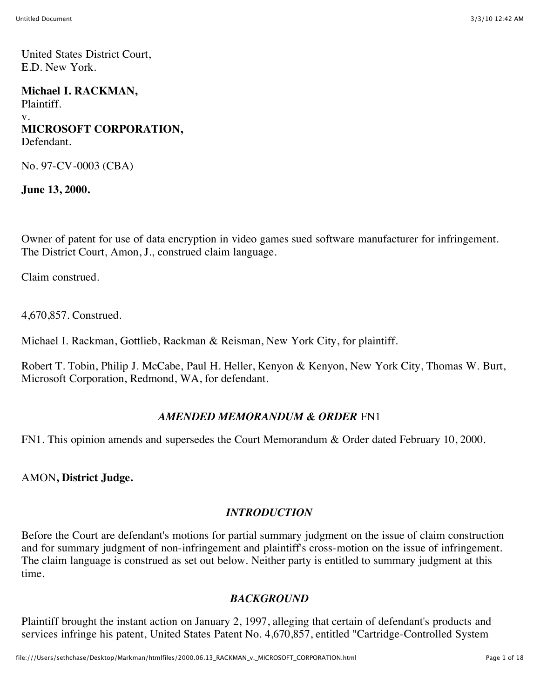United States District Court, E.D. New York.

**Michael I. RACKMAN,** Plaintiff. v. **MICROSOFT CORPORATION,** Defendant.

No. 97-CV-0003 (CBA)

**June 13, 2000.**

Owner of patent for use of data encryption in video games sued software manufacturer for infringement. The District Court, Amon, J., construed claim language.

Claim construed.

4,670,857. Construed.

Michael I. Rackman, Gottlieb, Rackman & Reisman, New York City, for plaintiff.

Robert T. Tobin, Philip J. McCabe, Paul H. Heller, Kenyon & Kenyon, New York City, Thomas W. Burt, Microsoft Corporation, Redmond, WA, for defendant.

#### *AMENDED MEMORANDUM & ORDER* FN1

FN1. This opinion amends and supersedes the Court Memorandum & Order dated February 10, 2000.

AMON**, District Judge.**

#### *INTRODUCTION*

Before the Court are defendant's motions for partial summary judgment on the issue of claim construction and for summary judgment of non-infringement and plaintiff's cross-motion on the issue of infringement. The claim language is construed as set out below. Neither party is entitled to summary judgment at this time.

#### *BACKGROUND*

Plaintiff brought the instant action on January 2, 1997, alleging that certain of defendant's products and services infringe his patent, United States Patent No. 4,670,857, entitled "Cartridge-Controlled System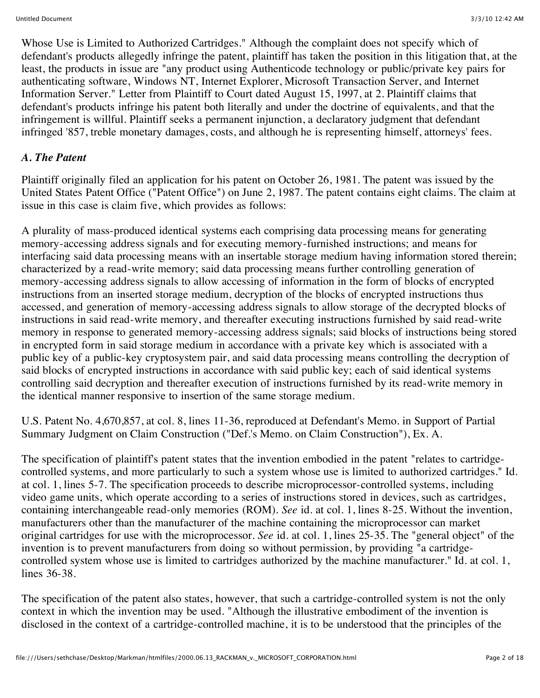Whose Use is Limited to Authorized Cartridges." Although the complaint does not specify which of defendant's products allegedly infringe the patent, plaintiff has taken the position in this litigation that, at the least, the products in issue are "any product using Authenticode technology or public/private key pairs for authenticating software, Windows NT, Internet Explorer, Microsoft Transaction Server, and Internet Information Server." Letter from Plaintiff to Court dated August 15, 1997, at 2. Plaintiff claims that defendant's products infringe his patent both literally and under the doctrine of equivalents, and that the infringement is willful. Plaintiff seeks a permanent injunction, a declaratory judgment that defendant infringed '857, treble monetary damages, costs, and although he is representing himself, attorneys' fees.

## *A. The Patent*

Plaintiff originally filed an application for his patent on October 26, 1981. The patent was issued by the United States Patent Office ("Patent Office") on June 2, 1987. The patent contains eight claims. The claim at issue in this case is claim five, which provides as follows:

A plurality of mass-produced identical systems each comprising data processing means for generating memory-accessing address signals and for executing memory-furnished instructions; and means for interfacing said data processing means with an insertable storage medium having information stored therein; characterized by a read-write memory; said data processing means further controlling generation of memory-accessing address signals to allow accessing of information in the form of blocks of encrypted instructions from an inserted storage medium, decryption of the blocks of encrypted instructions thus accessed, and generation of memory-accessing address signals to allow storage of the decrypted blocks of instructions in said read-write memory, and thereafter executing instructions furnished by said read-write memory in response to generated memory-accessing address signals; said blocks of instructions being stored in encrypted form in said storage medium in accordance with a private key which is associated with a public key of a public-key cryptosystem pair, and said data processing means controlling the decryption of said blocks of encrypted instructions in accordance with said public key; each of said identical systems controlling said decryption and thereafter execution of instructions furnished by its read-write memory in the identical manner responsive to insertion of the same storage medium.

U.S. Patent No. 4,670,857, at col. 8, lines 11-36, reproduced at Defendant's Memo. in Support of Partial Summary Judgment on Claim Construction ("Def.'s Memo. on Claim Construction"), Ex. A.

The specification of plaintiff's patent states that the invention embodied in the patent "relates to cartridgecontrolled systems, and more particularly to such a system whose use is limited to authorized cartridges." Id. at col. 1, lines 5-7. The specification proceeds to describe microprocessor-controlled systems, including video game units, which operate according to a series of instructions stored in devices, such as cartridges, containing interchangeable read-only memories (ROM). *See* id. at col. 1, lines 8-25. Without the invention, manufacturers other than the manufacturer of the machine containing the microprocessor can market original cartridges for use with the microprocessor. *See* id. at col. 1, lines 25-35. The "general object" of the invention is to prevent manufacturers from doing so without permission, by providing "a cartridgecontrolled system whose use is limited to cartridges authorized by the machine manufacturer." Id. at col. 1, lines 36-38.

The specification of the patent also states, however, that such a cartridge-controlled system is not the only context in which the invention may be used. "Although the illustrative embodiment of the invention is disclosed in the context of a cartridge-controlled machine, it is to be understood that the principles of the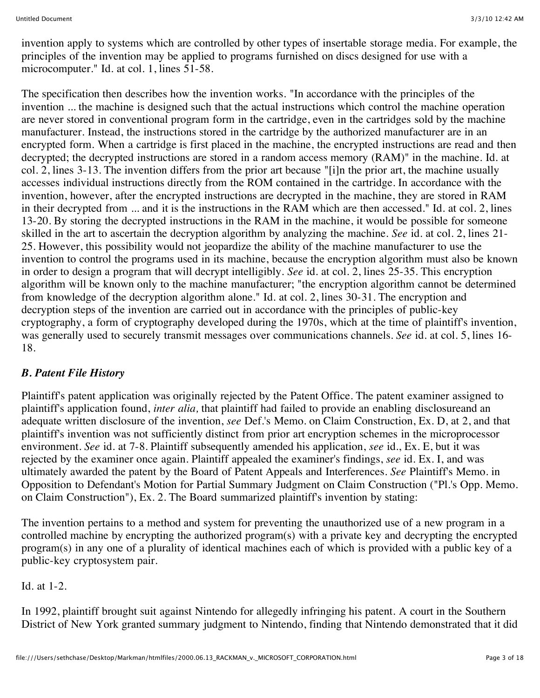invention apply to systems which are controlled by other types of insertable storage media. For example, the principles of the invention may be applied to programs furnished on discs designed for use with a microcomputer." Id. at col. 1, lines 51-58.

The specification then describes how the invention works. "In accordance with the principles of the invention ... the machine is designed such that the actual instructions which control the machine operation are never stored in conventional program form in the cartridge, even in the cartridges sold by the machine manufacturer. Instead, the instructions stored in the cartridge by the authorized manufacturer are in an encrypted form. When a cartridge is first placed in the machine, the encrypted instructions are read and then decrypted; the decrypted instructions are stored in a random access memory (RAM)" in the machine. Id. at col. 2, lines 3-13. The invention differs from the prior art because "[i]n the prior art, the machine usually accesses individual instructions directly from the ROM contained in the cartridge. In accordance with the invention, however, after the encrypted instructions are decrypted in the machine, they are stored in RAM in their decrypted from ... and it is the instructions in the RAM which are then accessed." Id. at col. 2, lines 13-20. By storing the decrypted instructions in the RAM in the machine, it would be possible for someone skilled in the art to ascertain the decryption algorithm by analyzing the machine. *See* id. at col. 2, lines 21- 25. However, this possibility would not jeopardize the ability of the machine manufacturer to use the invention to control the programs used in its machine, because the encryption algorithm must also be known in order to design a program that will decrypt intelligibly. *See* id. at col. 2, lines 25-35. This encryption algorithm will be known only to the machine manufacturer; "the encryption algorithm cannot be determined from knowledge of the decryption algorithm alone." Id. at col. 2, lines 30-31. The encryption and decryption steps of the invention are carried out in accordance with the principles of public-key cryptography, a form of cryptography developed during the 1970s, which at the time of plaintiff's invention, was generally used to securely transmit messages over communications channels. *See* id. at col. 5, lines 16- 18.

### *B. Patent File History*

Plaintiff's patent application was originally rejected by the Patent Office. The patent examiner assigned to plaintiff's application found, *inter alia,* that plaintiff had failed to provide an enabling disclosureand an adequate written disclosure of the invention, *see* Def.'s Memo. on Claim Construction, Ex. D, at 2, and that plaintiff's invention was not sufficiently distinct from prior art encryption schemes in the microprocessor environment. *See* id. at 7-8. Plaintiff subsequently amended his application, *see* id., Ex. E, but it was rejected by the examiner once again. Plaintiff appealed the examiner's findings, *see* id. Ex. I, and was ultimately awarded the patent by the Board of Patent Appeals and Interferences. *See* Plaintiff's Memo. in Opposition to Defendant's Motion for Partial Summary Judgment on Claim Construction ("Pl.'s Opp. Memo. on Claim Construction"), Ex. 2. The Board summarized plaintiff's invention by stating:

The invention pertains to a method and system for preventing the unauthorized use of a new program in a controlled machine by encrypting the authorized program(s) with a private key and decrypting the encrypted program(s) in any one of a plurality of identical machines each of which is provided with a public key of a public-key cryptosystem pair.

#### Id. at 1-2.

In 1992, plaintiff brought suit against Nintendo for allegedly infringing his patent. A court in the Southern District of New York granted summary judgment to Nintendo, finding that Nintendo demonstrated that it did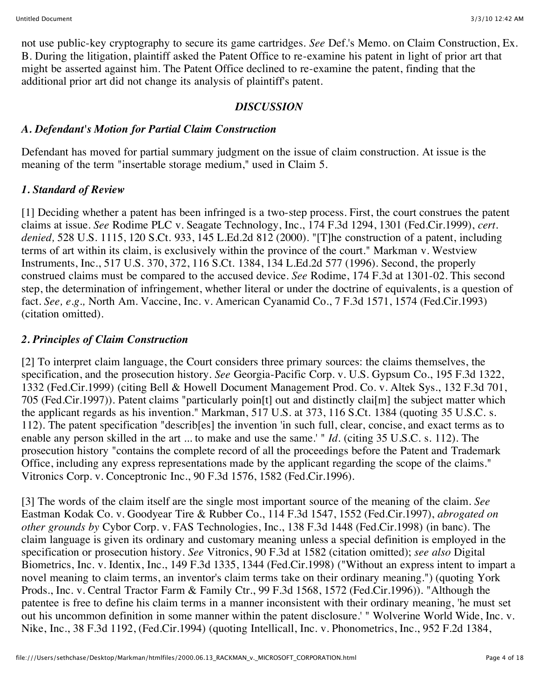not use public-key cryptography to secure its game cartridges. *See* Def.'s Memo. on Claim Construction, Ex. B. During the litigation, plaintiff asked the Patent Office to re-examine his patent in light of prior art that might be asserted against him. The Patent Office declined to re-examine the patent, finding that the additional prior art did not change its analysis of plaintiff's patent.

### *DISCUSSION*

### *A. Defendant's Motion for Partial Claim Construction*

Defendant has moved for partial summary judgment on the issue of claim construction. At issue is the meaning of the term "insertable storage medium," used in Claim 5.

### *1. Standard of Review*

[1] Deciding whether a patent has been infringed is a two-step process. First, the court construes the patent claims at issue. *See* Rodime PLC v. Seagate Technology, Inc., 174 F.3d 1294, 1301 (Fed.Cir.1999), *cert. denied,* 528 U.S. 1115, 120 S.Ct. 933, 145 L.Ed.2d 812 (2000). "[T]he construction of a patent, including terms of art within its claim, is exclusively within the province of the court." Markman v. Westview Instruments, Inc., 517 U.S. 370, 372, 116 S.Ct. 1384, 134 L.Ed.2d 577 (1996). Second, the properly construed claims must be compared to the accused device. *See* Rodime, 174 F.3d at 1301-02. This second step, the determination of infringement, whether literal or under the doctrine of equivalents, is a question of fact. *See, e.g.,* North Am. Vaccine, Inc. v. American Cyanamid Co., 7 F.3d 1571, 1574 (Fed.Cir.1993) (citation omitted).

### *2. Principles of Claim Construction*

[2] To interpret claim language, the Court considers three primary sources: the claims themselves, the specification, and the prosecution history. *See* Georgia-Pacific Corp. v. U.S. Gypsum Co., 195 F.3d 1322, 1332 (Fed.Cir.1999) (citing Bell & Howell Document Management Prod. Co. v. Altek Sys., 132 F.3d 701, 705 (Fed.Cir.1997)). Patent claims "particularly poin[t] out and distinctly clai[m] the subject matter which the applicant regards as his invention." Markman, 517 U.S. at 373, 116 S.Ct. 1384 (quoting 35 U.S.C. s. 112). The patent specification "describ[es] the invention 'in such full, clear, concise, and exact terms as to enable any person skilled in the art ... to make and use the same.' " *Id.* (citing 35 U.S.C. s. 112). The prosecution history "contains the complete record of all the proceedings before the Patent and Trademark Office, including any express representations made by the applicant regarding the scope of the claims." Vitronics Corp. v. Conceptronic Inc., 90 F.3d 1576, 1582 (Fed.Cir.1996).

[3] The words of the claim itself are the single most important source of the meaning of the claim. *See* Eastman Kodak Co. v. Goodyear Tire & Rubber Co., 114 F.3d 1547, 1552 (Fed.Cir.1997), *abrogated on other grounds by* Cybor Corp. v. FAS Technologies, Inc., 138 F.3d 1448 (Fed.Cir.1998) (in banc). The claim language is given its ordinary and customary meaning unless a special definition is employed in the specification or prosecution history. *See* Vitronics, 90 F.3d at 1582 (citation omitted); *see also* Digital Biometrics, Inc. v. Identix, Inc., 149 F.3d 1335, 1344 (Fed.Cir.1998) ("Without an express intent to impart a novel meaning to claim terms, an inventor's claim terms take on their ordinary meaning.") (quoting York Prods., Inc. v. Central Tractor Farm & Family Ctr., 99 F.3d 1568, 1572 (Fed.Cir.1996)). "Although the patentee is free to define his claim terms in a manner inconsistent with their ordinary meaning, 'he must set out his uncommon definition in some manner within the patent disclosure.' " Wolverine World Wide, Inc. v. Nike, Inc., 38 F.3d 1192, (Fed.Cir.1994) (quoting Intellicall, Inc. v. Phonometrics, Inc., 952 F.2d 1384,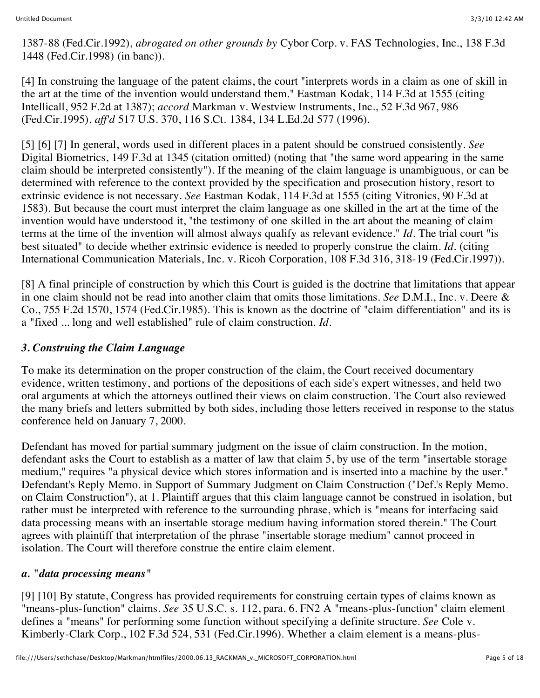1387-88 (Fed.Cir.1992), *abrogated on other grounds by* Cybor Corp. v. FAS Technologies, Inc., 138 F.3d 1448 (Fed.Cir.1998) (in banc)).

[4] In construing the language of the patent claims, the court "interprets words in a claim as one of skill in the art at the time of the invention would understand them." Eastman Kodak, 114 F.3d at 1555 (citing Intellicall, 952 F.2d at 1387); *accord* Markman v. Westview Instruments, Inc., 52 F.3d 967, 986 (Fed.Cir.1995), *aff'd* 517 U.S. 370, 116 S.Ct. 1384, 134 L.Ed.2d 577 (1996).

[5] [6] [7] In general, words used in different places in a patent should be construed consistently. *See* Digital Biometrics, 149 F.3d at 1345 (citation omitted) (noting that "the same word appearing in the same claim should be interpreted consistently"). If the meaning of the claim language is unambiguous, or can be determined with reference to the context provided by the specification and prosecution history, resort to extrinsic evidence is not necessary. *See* Eastman Kodak, 114 F.3d at 1555 (citing Vitronics, 90 F.3d at 1583). But because the court must interpret the claim language as one skilled in the art at the time of the invention would have understood it, "the testimony of one skilled in the art about the meaning of claim terms at the time of the invention will almost always qualify as relevant evidence." *Id.* The trial court "is best situated" to decide whether extrinsic evidence is needed to properly construe the claim. *Id.* (citing International Communication Materials, Inc. v. Ricoh Corporation, 108 F.3d 316, 318-19 (Fed.Cir.1997)).

[8] A final principle of construction by which this Court is guided is the doctrine that limitations that appear in one claim should not be read into another claim that omits those limitations. *See* D.M.I., Inc. v. Deere & Co., 755 F.2d 1570, 1574 (Fed.Cir.1985). This is known as the doctrine of "claim differentiation" and its is a "fixed ... long and well established" rule of claim construction. *Id.*

### *3. Construing the Claim Language*

To make its determination on the proper construction of the claim, the Court received documentary evidence, written testimony, and portions of the depositions of each side's expert witnesses, and held two oral arguments at which the attorneys outlined their views on claim construction. The Court also reviewed the many briefs and letters submitted by both sides, including those letters received in response to the status conference held on January 7, 2000.

Defendant has moved for partial summary judgment on the issue of claim construction. In the motion, defendant asks the Court to establish as a matter of law that claim 5, by use of the term "insertable storage medium," requires "a physical device which stores information and is inserted into a machine by the user." Defendant's Reply Memo. in Support of Summary Judgment on Claim Construction ("Def.'s Reply Memo. on Claim Construction"), at 1. Plaintiff argues that this claim language cannot be construed in isolation, but rather must be interpreted with reference to the surrounding phrase, which is "means for interfacing said data processing means with an insertable storage medium having information stored therein." The Court agrees with plaintiff that interpretation of the phrase "insertable storage medium" cannot proceed in isolation. The Court will therefore construe the entire claim element.

#### *a. "data processing means"*

[9] [10] By statute, Congress has provided requirements for construing certain types of claims known as "means-plus-function" claims. *See* 35 U.S.C. s. 112, para. 6. FN2 A "means-plus-function" claim element defines a "means" for performing some function without specifying a definite structure. *See* Cole v. Kimberly-Clark Corp., 102 F.3d 524, 531 (Fed.Cir.1996). Whether a claim element is a means-plus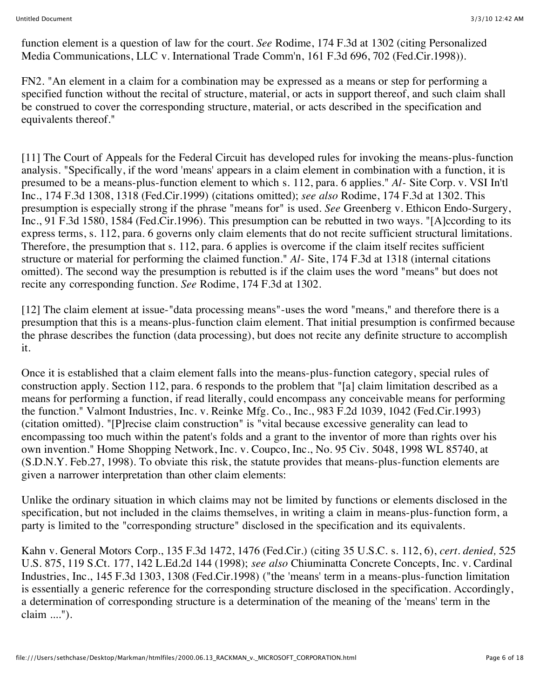function element is a question of law for the court. *See* Rodime, 174 F.3d at 1302 (citing Personalized Media Communications, LLC v. International Trade Comm'n, 161 F.3d 696, 702 (Fed.Cir.1998)).

FN2. "An element in a claim for a combination may be expressed as a means or step for performing a specified function without the recital of structure, material, or acts in support thereof, and such claim shall be construed to cover the corresponding structure, material, or acts described in the specification and equivalents thereof."

[11] The Court of Appeals for the Federal Circuit has developed rules for invoking the means-plus-function analysis. "Specifically, if the word 'means' appears in a claim element in combination with a function, it is presumed to be a means-plus-function element to which s. 112, para. 6 applies." *Al-* Site Corp. v. VSI In'tl Inc., 174 F.3d 1308, 1318 (Fed.Cir.1999) (citations omitted); *see also* Rodime, 174 F.3d at 1302. This presumption is especially strong if the phrase "means for" is used. *See* Greenberg v. Ethicon Endo-Surgery, Inc., 91 F.3d 1580, 1584 (Fed.Cir.1996). This presumption can be rebutted in two ways. "[A]ccording to its express terms, s. 112, para. 6 governs only claim elements that do not recite sufficient structural limitations. Therefore, the presumption that s. 112, para. 6 applies is overcome if the claim itself recites sufficient structure or material for performing the claimed function." *Al-* Site, 174 F.3d at 1318 (internal citations omitted). The second way the presumption is rebutted is if the claim uses the word "means" but does not recite any corresponding function. *See* Rodime, 174 F.3d at 1302.

[12] The claim element at issue-"data processing means"-uses the word "means," and therefore there is a presumption that this is a means-plus-function claim element. That initial presumption is confirmed because the phrase describes the function (data processing), but does not recite any definite structure to accomplish it.

Once it is established that a claim element falls into the means-plus-function category, special rules of construction apply. Section 112, para. 6 responds to the problem that "[a] claim limitation described as a means for performing a function, if read literally, could encompass any conceivable means for performing the function." Valmont Industries, Inc. v. Reinke Mfg. Co., Inc., 983 F.2d 1039, 1042 (Fed.Cir.1993) (citation omitted). "[P]recise claim construction" is "vital because excessive generality can lead to encompassing too much within the patent's folds and a grant to the inventor of more than rights over his own invention." Home Shopping Network, Inc. v. Coupco, Inc., No. 95 Civ. 5048, 1998 WL 85740, at (S.D.N.Y. Feb.27, 1998). To obviate this risk, the statute provides that means-plus-function elements are given a narrower interpretation than other claim elements:

Unlike the ordinary situation in which claims may not be limited by functions or elements disclosed in the specification, but not included in the claims themselves, in writing a claim in means-plus-function form, a party is limited to the "corresponding structure" disclosed in the specification and its equivalents.

Kahn v. General Motors Corp., 135 F.3d 1472, 1476 (Fed.Cir.) (citing 35 U.S.C. s. 112, 6), *cert. denied,* 525 U.S. 875, 119 S.Ct. 177, 142 L.Ed.2d 144 (1998); *see also* Chiuminatta Concrete Concepts, Inc. v. Cardinal Industries, Inc., 145 F.3d 1303, 1308 (Fed.Cir.1998) ("the 'means' term in a means-plus-function limitation is essentially a generic reference for the corresponding structure disclosed in the specification. Accordingly, a determination of corresponding structure is a determination of the meaning of the 'means' term in the claim ....").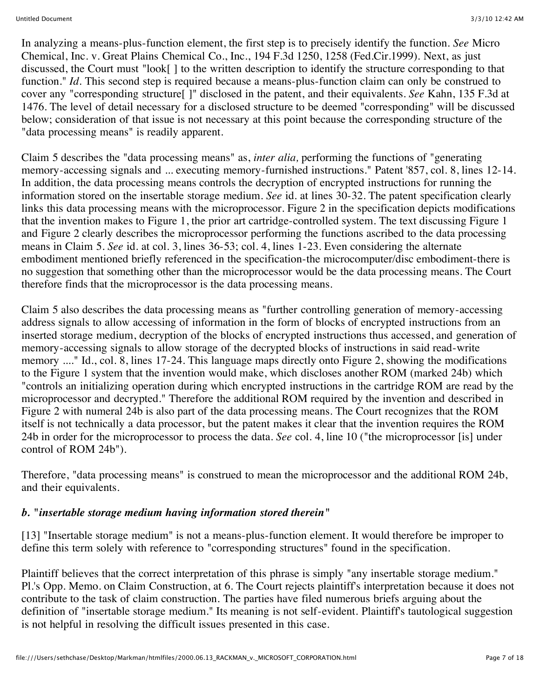In analyzing a means-plus-function element, the first step is to precisely identify the function. *See* Micro Chemical, Inc. v. Great Plains Chemical Co., Inc., 194 F.3d 1250, 1258 (Fed.Cir.1999). Next, as just discussed, the Court must "look[ ] to the written description to identify the structure corresponding to that function." *Id*. This second step is required because a means-plus-function claim can only be construed to cover any "corresponding structure[ ]" disclosed in the patent, and their equivalents. *See* Kahn, 135 F.3d at 1476. The level of detail necessary for a disclosed structure to be deemed "corresponding" will be discussed below; consideration of that issue is not necessary at this point because the corresponding structure of the "data processing means" is readily apparent.

Claim 5 describes the "data processing means" as, *inter alia,* performing the functions of "generating memory-accessing signals and ... executing memory-furnished instructions." Patent '857, col. 8, lines 12-14. In addition, the data processing means controls the decryption of encrypted instructions for running the information stored on the insertable storage medium. *See* id. at lines 30-32. The patent specification clearly links this data processing means with the microprocessor. Figure 2 in the specification depicts modifications that the invention makes to Figure 1, the prior art cartridge-controlled system. The text discussing Figure 1 and Figure 2 clearly describes the microprocessor performing the functions ascribed to the data processing means in Claim 5. *See* id. at col. 3, lines 36-53; col. 4, lines 1-23. Even considering the alternate embodiment mentioned briefly referenced in the specification-the microcomputer/disc embodiment-there is no suggestion that something other than the microprocessor would be the data processing means. The Court therefore finds that the microprocessor is the data processing means.

Claim 5 also describes the data processing means as "further controlling generation of memory-accessing address signals to allow accessing of information in the form of blocks of encrypted instructions from an inserted storage medium, decryption of the blocks of encrypted instructions thus accessed, and generation of memory-accessing signals to allow storage of the decrypted blocks of instructions in said read-write memory ...." Id., col. 8, lines 17-24. This language maps directly onto Figure 2, showing the modifications to the Figure 1 system that the invention would make, which discloses another ROM (marked 24b) which "controls an initializing operation during which encrypted instructions in the cartridge ROM are read by the microprocessor and decrypted." Therefore the additional ROM required by the invention and described in Figure 2 with numeral 24b is also part of the data processing means. The Court recognizes that the ROM itself is not technically a data processor, but the patent makes it clear that the invention requires the ROM 24b in order for the microprocessor to process the data. *See* col. 4, line 10 ("the microprocessor [is] under control of ROM 24b").

Therefore, "data processing means" is construed to mean the microprocessor and the additional ROM 24b, and their equivalents.

### *b. "insertable storage medium having information stored therein"*

[13] "Insertable storage medium" is not a means-plus-function element. It would therefore be improper to define this term solely with reference to "corresponding structures" found in the specification.

Plaintiff believes that the correct interpretation of this phrase is simply "any insertable storage medium." Pl.'s Opp. Memo. on Claim Construction, at 6. The Court rejects plaintiff's interpretation because it does not contribute to the task of claim construction. The parties have filed numerous briefs arguing about the definition of "insertable storage medium." Its meaning is not self-evident. Plaintiff's tautological suggestion is not helpful in resolving the difficult issues presented in this case.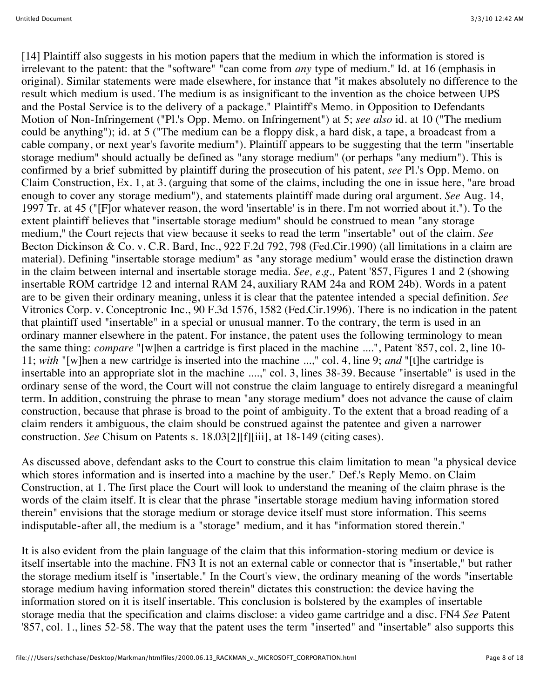[14] Plaintiff also suggests in his motion papers that the medium in which the information is stored is irrelevant to the patent: that the "software" "can come from *any* type of medium." Id. at 16 (emphasis in original). Similar statements were made elsewhere, for instance that "it makes absolutely no difference to the result which medium is used. The medium is as insignificant to the invention as the choice between UPS and the Postal Service is to the delivery of a package." Plaintiff's Memo. in Opposition to Defendants Motion of Non-Infringement ("Pl.'s Opp. Memo. on Infringement") at 5; *see also* id. at 10 ("The medium could be anything"); id. at 5 ("The medium can be a floppy disk, a hard disk, a tape, a broadcast from a cable company, or next year's favorite medium"). Plaintiff appears to be suggesting that the term "insertable storage medium" should actually be defined as "any storage medium" (or perhaps "any medium"). This is confirmed by a brief submitted by plaintiff during the prosecution of his patent, *see* Pl.'s Opp. Memo. on Claim Construction, Ex. 1, at 3. (arguing that some of the claims, including the one in issue here, "are broad enough to cover any storage medium"), and statements plaintiff made during oral argument. *See* Aug. 14, 1997 Tr. at 45 ("[F]or whatever reason, the word 'insertable' is in there. I'm not worried about it."). To the extent plaintiff believes that "insertable storage medium" should be construed to mean "any storage medium," the Court rejects that view because it seeks to read the term "insertable" out of the claim. *See* Becton Dickinson & Co. v. C.R. Bard, Inc., 922 F.2d 792, 798 (Fed.Cir.1990) (all limitations in a claim are material). Defining "insertable storage medium" as "any storage medium" would erase the distinction drawn in the claim between internal and insertable storage media. *See, e.g.,* Patent '857, Figures 1 and 2 (showing insertable ROM cartridge 12 and internal RAM 24, auxiliary RAM 24a and ROM 24b). Words in a patent are to be given their ordinary meaning, unless it is clear that the patentee intended a special definition. *See* Vitronics Corp. v. Conceptronic Inc., 90 F.3d 1576, 1582 (Fed.Cir.1996). There is no indication in the patent that plaintiff used "insertable" in a special or unusual manner. To the contrary, the term is used in an ordinary manner elsewhere in the patent. For instance, the patent uses the following terminology to mean the same thing: *compare* "[w]hen a cartridge is first placed in the machine ....", Patent '857, col. 2, line 10- 11; *with* "[w]hen a new cartridge is inserted into the machine ...," col. 4, line 9; *and* "[t]he cartridge is insertable into an appropriate slot in the machine ....," col. 3, lines 38-39. Because "insertable" is used in the ordinary sense of the word, the Court will not construe the claim language to entirely disregard a meaningful term. In addition, construing the phrase to mean "any storage medium" does not advance the cause of claim construction, because that phrase is broad to the point of ambiguity. To the extent that a broad reading of a claim renders it ambiguous, the claim should be construed against the patentee and given a narrower construction. *See* Chisum on Patents s. 18.03[2][f][iii], at 18-149 (citing cases).

As discussed above, defendant asks to the Court to construe this claim limitation to mean "a physical device which stores information and is inserted into a machine by the user." Def.'s Reply Memo. on Claim Construction, at 1. The first place the Court will look to understand the meaning of the claim phrase is the words of the claim itself. It is clear that the phrase "insertable storage medium having information stored therein" envisions that the storage medium or storage device itself must store information. This seems indisputable-after all, the medium is a "storage" medium, and it has "information stored therein."

It is also evident from the plain language of the claim that this information-storing medium or device is itself insertable into the machine. FN3 It is not an external cable or connector that is "insertable," but rather the storage medium itself is "insertable." In the Court's view, the ordinary meaning of the words "insertable storage medium having information stored therein" dictates this construction: the device having the information stored on it is itself insertable. This conclusion is bolstered by the examples of insertable storage media that the specification and claims disclose: a video game cartridge and a disc. FN4 *See* Patent '857, col. 1., lines 52-58. The way that the patent uses the term "inserted" and "insertable" also supports this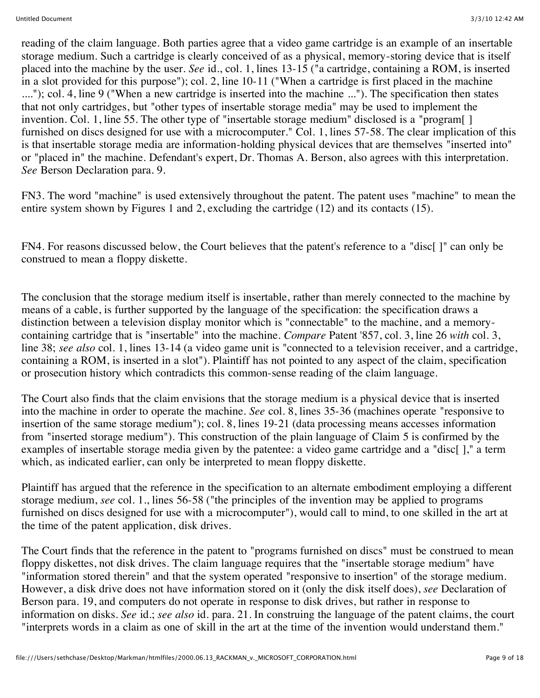reading of the claim language. Both parties agree that a video game cartridge is an example of an insertable storage medium. Such a cartridge is clearly conceived of as a physical, memory-storing device that is itself placed into the machine by the user. *See* id., col. 1, lines 13-15 ("a cartridge, containing a ROM, is inserted in a slot provided for this purpose"); col. 2, line 10-11 ("When a cartridge is first placed in the machine ...."); col. 4, line 9 ("When a new cartridge is inserted into the machine ..."). The specification then states that not only cartridges, but "other types of insertable storage media" may be used to implement the invention. Col. 1, line 55. The other type of "insertable storage medium" disclosed is a "program[ ] furnished on discs designed for use with a microcomputer." Col. 1, lines 57-58. The clear implication of this is that insertable storage media are information-holding physical devices that are themselves "inserted into" or "placed in" the machine. Defendant's expert, Dr. Thomas A. Berson, also agrees with this interpretation. *See* Berson Declaration para. 9.

FN3. The word "machine" is used extensively throughout the patent. The patent uses "machine" to mean the entire system shown by Figures 1 and 2, excluding the cartridge (12) and its contacts (15).

FN4. For reasons discussed below, the Court believes that the patent's reference to a "disc[]" can only be construed to mean a floppy diskette.

The conclusion that the storage medium itself is insertable, rather than merely connected to the machine by means of a cable, is further supported by the language of the specification: the specification draws a distinction between a television display monitor which is "connectable" to the machine, and a memorycontaining cartridge that is "insertable" into the machine. *Compare* Patent '857, col. 3, line 26 *with* col. 3, line 38; *see also* col. 1, lines 13-14 (a video game unit is "connected to a television receiver, and a cartridge, containing a ROM, is inserted in a slot"). Plaintiff has not pointed to any aspect of the claim, specification or prosecution history which contradicts this common-sense reading of the claim language.

The Court also finds that the claim envisions that the storage medium is a physical device that is inserted into the machine in order to operate the machine. *See* col. 8, lines 35-36 (machines operate "responsive to insertion of the same storage medium"); col. 8, lines 19-21 (data processing means accesses information from "inserted storage medium"). This construction of the plain language of Claim 5 is confirmed by the examples of insertable storage media given by the patentee: a video game cartridge and a "disc[]," a term which, as indicated earlier, can only be interpreted to mean floppy diskette.

Plaintiff has argued that the reference in the specification to an alternate embodiment employing a different storage medium, *see* col. 1., lines 56-58 ("the principles of the invention may be applied to programs furnished on discs designed for use with a microcomputer"), would call to mind, to one skilled in the art at the time of the patent application, disk drives.

The Court finds that the reference in the patent to "programs furnished on discs" must be construed to mean floppy diskettes, not disk drives. The claim language requires that the "insertable storage medium" have "information stored therein" and that the system operated "responsive to insertion" of the storage medium. However, a disk drive does not have information stored on it (only the disk itself does), *see* Declaration of Berson para. 19, and computers do not operate in response to disk drives, but rather in response to information on disks. *See* id.; *see also* id. para. 21. In construing the language of the patent claims, the court "interprets words in a claim as one of skill in the art at the time of the invention would understand them."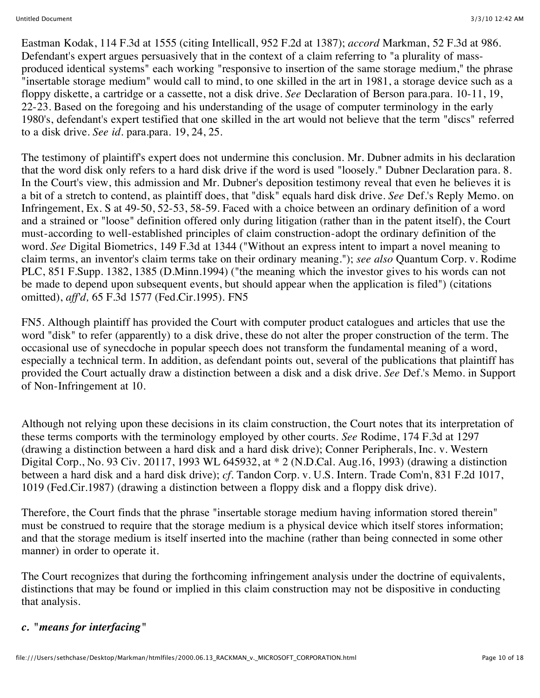Eastman Kodak, 114 F.3d at 1555 (citing Intellicall, 952 F.2d at 1387); *accord* Markman, 52 F.3d at 986. Defendant's expert argues persuasively that in the context of a claim referring to "a plurality of massproduced identical systems" each working "responsive to insertion of the same storage medium," the phrase "insertable storage medium" would call to mind, to one skilled in the art in 1981, a storage device such as a floppy diskette, a cartridge or a cassette, not a disk drive. *See* Declaration of Berson para.para. 10-11, 19, 22-23. Based on the foregoing and his understanding of the usage of computer terminology in the early 1980's, defendant's expert testified that one skilled in the art would not believe that the term "discs" referred to a disk drive. *See id.* para.para. 19, 24, 25.

The testimony of plaintiff's expert does not undermine this conclusion. Mr. Dubner admits in his declaration that the word disk only refers to a hard disk drive if the word is used "loosely." Dubner Declaration para. 8. In the Court's view, this admission and Mr. Dubner's deposition testimony reveal that even he believes it is a bit of a stretch to contend, as plaintiff does, that "disk" equals hard disk drive. *See* Def.'s Reply Memo. on Infringement, Ex. S at 49-50, 52-53, 58-59. Faced with a choice between an ordinary definition of a word and a strained or "loose" definition offered only during litigation (rather than in the patent itself), the Court must-according to well-established principles of claim construction-adopt the ordinary definition of the word. *See* Digital Biometrics, 149 F.3d at 1344 ("Without an express intent to impart a novel meaning to claim terms, an inventor's claim terms take on their ordinary meaning."); *see also* Quantum Corp. v. Rodime PLC, 851 F.Supp. 1382, 1385 (D.Minn.1994) ("the meaning which the investor gives to his words can not be made to depend upon subsequent events, but should appear when the application is filed") (citations omitted), *aff'd,* 65 F.3d 1577 (Fed.Cir.1995). FN5

FN5. Although plaintiff has provided the Court with computer product catalogues and articles that use the word "disk" to refer (apparently) to a disk drive, these do not alter the proper construction of the term. The occasional use of synecdoche in popular speech does not transform the fundamental meaning of a word, especially a technical term. In addition, as defendant points out, several of the publications that plaintiff has provided the Court actually draw a distinction between a disk and a disk drive. *See* Def.'s Memo. in Support of Non-Infringement at 10.

Although not relying upon these decisions in its claim construction, the Court notes that its interpretation of these terms comports with the terminology employed by other courts. *See* Rodime, 174 F.3d at 1297 (drawing a distinction between a hard disk and a hard disk drive); Conner Peripherals, Inc. v. Western Digital Corp., No. 93 Civ. 20117, 1993 WL 645932, at \* 2 (N.D.Cal. Aug.16, 1993) (drawing a distinction between a hard disk and a hard disk drive); *cf.* Tandon Corp. v. U.S. Intern. Trade Com'n, 831 F.2d 1017, 1019 (Fed.Cir.1987) (drawing a distinction between a floppy disk and a floppy disk drive).

Therefore, the Court finds that the phrase "insertable storage medium having information stored therein" must be construed to require that the storage medium is a physical device which itself stores information; and that the storage medium is itself inserted into the machine (rather than being connected in some other manner) in order to operate it.

The Court recognizes that during the forthcoming infringement analysis under the doctrine of equivalents, distinctions that may be found or implied in this claim construction may not be dispositive in conducting that analysis.

### *c. "means for interfacing"*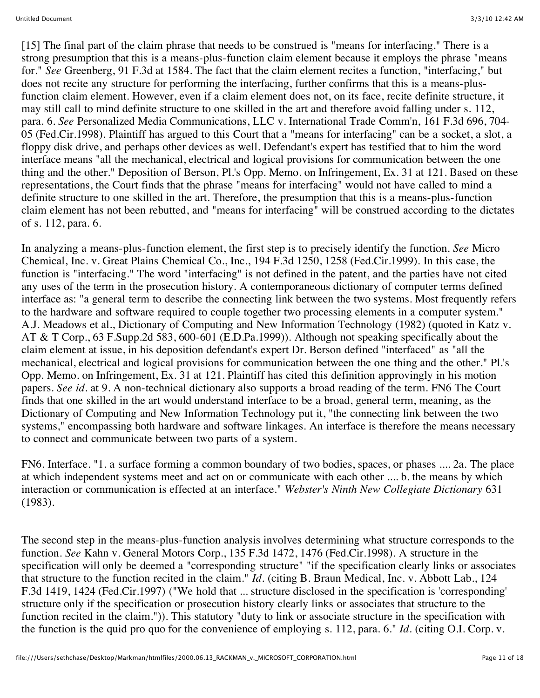[15] The final part of the claim phrase that needs to be construed is "means for interfacing." There is a strong presumption that this is a means-plus-function claim element because it employs the phrase "means for." *See* Greenberg, 91 F.3d at 1584. The fact that the claim element recites a function, "interfacing," but does not recite any structure for performing the interfacing, further confirms that this is a means-plusfunction claim element. However, even if a claim element does not, on its face, recite definite structure, it may still call to mind definite structure to one skilled in the art and therefore avoid falling under s. 112, para. 6. *See* Personalized Media Communications, LLC v. International Trade Comm'n, 161 F.3d 696, 704- 05 (Fed.Cir.1998). Plaintiff has argued to this Court that a "means for interfacing" can be a socket, a slot, a floppy disk drive, and perhaps other devices as well. Defendant's expert has testified that to him the word interface means "all the mechanical, electrical and logical provisions for communication between the one thing and the other." Deposition of Berson, Pl.'s Opp. Memo. on Infringement, Ex. 31 at 121. Based on these representations, the Court finds that the phrase "means for interfacing" would not have called to mind a definite structure to one skilled in the art. Therefore, the presumption that this is a means-plus-function claim element has not been rebutted, and "means for interfacing" will be construed according to the dictates of s. 112, para. 6.

In analyzing a means-plus-function element, the first step is to precisely identify the function. *See* Micro Chemical, Inc. v. Great Plains Chemical Co., Inc., 194 F.3d 1250, 1258 (Fed.Cir.1999). In this case, the function is "interfacing." The word "interfacing" is not defined in the patent, and the parties have not cited any uses of the term in the prosecution history. A contemporaneous dictionary of computer terms defined interface as: "a general term to describe the connecting link between the two systems. Most frequently refers to the hardware and software required to couple together two processing elements in a computer system." A.J. Meadows et al., Dictionary of Computing and New Information Technology (1982) (quoted in Katz v. AT & T Corp., 63 F.Supp.2d 583, 600-601 (E.D.Pa.1999)). Although not speaking specifically about the claim element at issue, in his deposition defendant's expert Dr. Berson defined "interfaced" as "all the mechanical, electrical and logical provisions for communication between the one thing and the other." Pl.'s Opp. Memo. on Infringement, Ex. 31 at 121. Plaintiff has cited this definition approvingly in his motion papers. *See id.* at 9. A non-technical dictionary also supports a broad reading of the term. FN6 The Court finds that one skilled in the art would understand interface to be a broad, general term, meaning, as the Dictionary of Computing and New Information Technology put it, "the connecting link between the two systems," encompassing both hardware and software linkages. An interface is therefore the means necessary to connect and communicate between two parts of a system.

FN6. Interface. "1. a surface forming a common boundary of two bodies, spaces, or phases .... 2a. The place at which independent systems meet and act on or communicate with each other .... b. the means by which interaction or communication is effected at an interface." *Webster's Ninth New Collegiate Dictionary* 631 (1983).

The second step in the means-plus-function analysis involves determining what structure corresponds to the function. *See* Kahn v. General Motors Corp., 135 F.3d 1472, 1476 (Fed.Cir.1998). A structure in the specification will only be deemed a "corresponding structure" "if the specification clearly links or associates that structure to the function recited in the claim." *Id.* (citing B. Braun Medical, Inc. v. Abbott Lab., 124 F.3d 1419, 1424 (Fed.Cir.1997) ("We hold that ... structure disclosed in the specification is 'corresponding' structure only if the specification or prosecution history clearly links or associates that structure to the function recited in the claim.")). This statutory "duty to link or associate structure in the specification with the function is the quid pro quo for the convenience of employing s. 112, para. 6." *Id.* (citing O.I. Corp. v.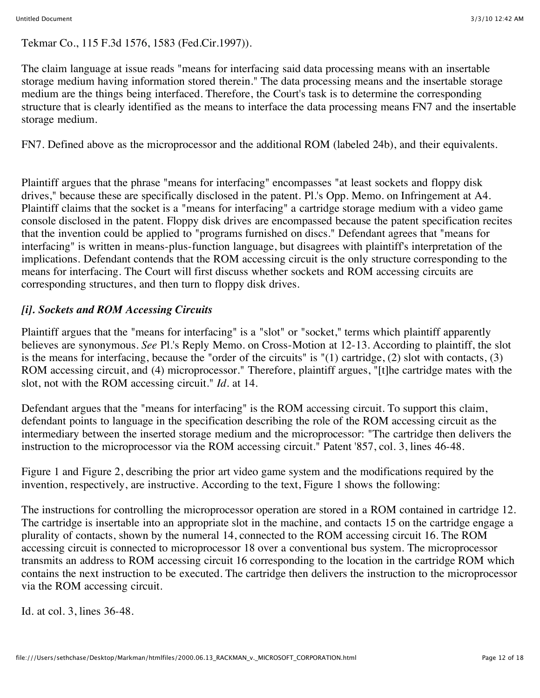Tekmar Co., 115 F.3d 1576, 1583 (Fed.Cir.1997)).

The claim language at issue reads "means for interfacing said data processing means with an insertable storage medium having information stored therein." The data processing means and the insertable storage medium are the things being interfaced. Therefore, the Court's task is to determine the corresponding structure that is clearly identified as the means to interface the data processing means FN7 and the insertable storage medium.

FN7. Defined above as the microprocessor and the additional ROM (labeled 24b), and their equivalents.

Plaintiff argues that the phrase "means for interfacing" encompasses "at least sockets and floppy disk drives," because these are specifically disclosed in the patent. Pl.'s Opp. Memo. on Infringement at A4. Plaintiff claims that the socket is a "means for interfacing" a cartridge storage medium with a video game console disclosed in the patent. Floppy disk drives are encompassed because the patent specification recites that the invention could be applied to "programs furnished on discs." Defendant agrees that "means for interfacing" is written in means-plus-function language, but disagrees with plaintiff's interpretation of the implications. Defendant contends that the ROM accessing circuit is the only structure corresponding to the means for interfacing. The Court will first discuss whether sockets and ROM accessing circuits are corresponding structures, and then turn to floppy disk drives.

# *[i]. Sockets and ROM Accessing Circuits*

Plaintiff argues that the "means for interfacing" is a "slot" or "socket," terms which plaintiff apparently believes are synonymous. *See* Pl.'s Reply Memo. on Cross-Motion at 12-13. According to plaintiff, the slot is the means for interfacing, because the "order of the circuits" is "(1) cartridge, (2) slot with contacts, (3) ROM accessing circuit, and (4) microprocessor." Therefore, plaintiff argues, "[t]he cartridge mates with the slot, not with the ROM accessing circuit." *Id.* at 14.

Defendant argues that the "means for interfacing" is the ROM accessing circuit. To support this claim, defendant points to language in the specification describing the role of the ROM accessing circuit as the intermediary between the inserted storage medium and the microprocessor: "The cartridge then delivers the instruction to the microprocessor via the ROM accessing circuit." Patent '857, col. 3, lines 46-48.

Figure 1 and Figure 2, describing the prior art video game system and the modifications required by the invention, respectively, are instructive. According to the text, Figure 1 shows the following:

The instructions for controlling the microprocessor operation are stored in a ROM contained in cartridge 12. The cartridge is insertable into an appropriate slot in the machine, and contacts 15 on the cartridge engage a plurality of contacts, shown by the numeral 14, connected to the ROM accessing circuit 16. The ROM accessing circuit is connected to microprocessor 18 over a conventional bus system. The microprocessor transmits an address to ROM accessing circuit 16 corresponding to the location in the cartridge ROM which contains the next instruction to be executed. The cartridge then delivers the instruction to the microprocessor via the ROM accessing circuit.

Id. at col. 3, lines 36-48.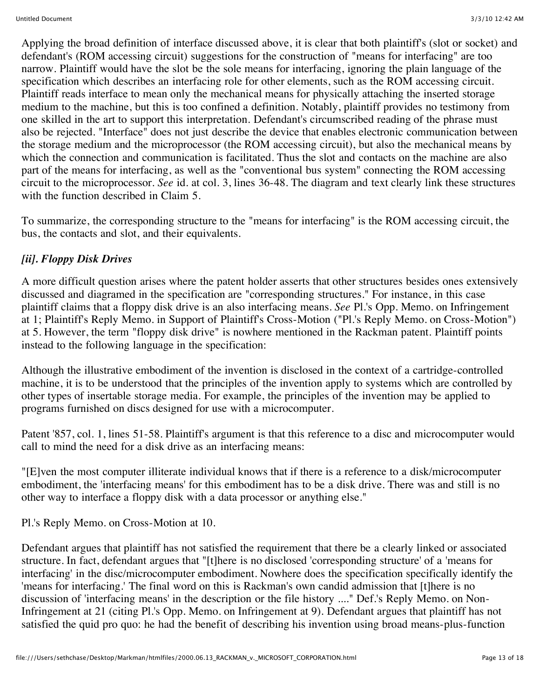Applying the broad definition of interface discussed above, it is clear that both plaintiff's (slot or socket) and defendant's (ROM accessing circuit) suggestions for the construction of "means for interfacing" are too narrow. Plaintiff would have the slot be the sole means for interfacing, ignoring the plain language of the specification which describes an interfacing role for other elements, such as the ROM accessing circuit. Plaintiff reads interface to mean only the mechanical means for physically attaching the inserted storage medium to the machine, but this is too confined a definition. Notably, plaintiff provides no testimony from one skilled in the art to support this interpretation. Defendant's circumscribed reading of the phrase must also be rejected. "Interface" does not just describe the device that enables electronic communication between the storage medium and the microprocessor (the ROM accessing circuit), but also the mechanical means by which the connection and communication is facilitated. Thus the slot and contacts on the machine are also part of the means for interfacing, as well as the "conventional bus system" connecting the ROM accessing circuit to the microprocessor. *See* id. at col. 3, lines 36-48. The diagram and text clearly link these structures with the function described in Claim 5.

To summarize, the corresponding structure to the "means for interfacing" is the ROM accessing circuit, the bus, the contacts and slot, and their equivalents.

## *[ii]. Floppy Disk Drives*

A more difficult question arises where the patent holder asserts that other structures besides ones extensively discussed and diagramed in the specification are "corresponding structures." For instance, in this case plaintiff claims that a floppy disk drive is an also interfacing means. *See* Pl.'s Opp. Memo. on Infringement at 1; Plaintiff's Reply Memo. in Support of Plaintiff's Cross-Motion ("Pl.'s Reply Memo. on Cross-Motion") at 5. However, the term "floppy disk drive" is nowhere mentioned in the Rackman patent. Plaintiff points instead to the following language in the specification:

Although the illustrative embodiment of the invention is disclosed in the context of a cartridge-controlled machine, it is to be understood that the principles of the invention apply to systems which are controlled by other types of insertable storage media. For example, the principles of the invention may be applied to programs furnished on discs designed for use with a microcomputer.

Patent '857, col. 1, lines 51-58. Plaintiff's argument is that this reference to a disc and microcomputer would call to mind the need for a disk drive as an interfacing means:

"[E]ven the most computer illiterate individual knows that if there is a reference to a disk/microcomputer embodiment, the 'interfacing means' for this embodiment has to be a disk drive. There was and still is no other way to interface a floppy disk with a data processor or anything else."

Pl.'s Reply Memo. on Cross-Motion at 10.

Defendant argues that plaintiff has not satisfied the requirement that there be a clearly linked or associated structure. In fact, defendant argues that "[t]here is no disclosed 'corresponding structure' of a 'means for interfacing' in the disc/microcomputer embodiment. Nowhere does the specification specifically identify the 'means for interfacing.' The final word on this is Rackman's own candid admission that [t]here is no discussion of 'interfacing means' in the description or the file history ...." Def.'s Reply Memo. on Non-Infringement at 21 (citing Pl.'s Opp. Memo. on Infringement at 9). Defendant argues that plaintiff has not satisfied the quid pro quo: he had the benefit of describing his invention using broad means-plus-function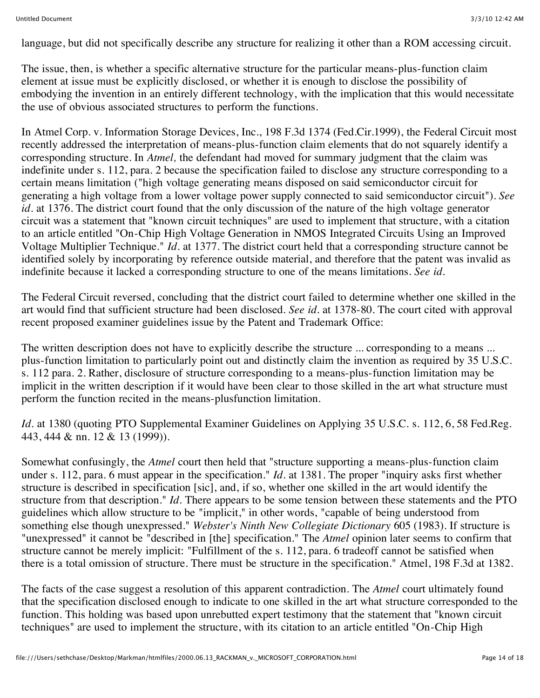language, but did not specifically describe any structure for realizing it other than a ROM accessing circuit.

The issue, then, is whether a specific alternative structure for the particular means-plus-function claim element at issue must be explicitly disclosed, or whether it is enough to disclose the possibility of embodying the invention in an entirely different technology, with the implication that this would necessitate the use of obvious associated structures to perform the functions.

In Atmel Corp. v. Information Storage Devices, Inc., 198 F.3d 1374 (Fed.Cir.1999), the Federal Circuit most recently addressed the interpretation of means-plus-function claim elements that do not squarely identify a corresponding structure. In *Atmel,* the defendant had moved for summary judgment that the claim was indefinite under s. 112, para. 2 because the specification failed to disclose any structure corresponding to a certain means limitation ("high voltage generating means disposed on said semiconductor circuit for generating a high voltage from a lower voltage power supply connected to said semiconductor circuit"). *See id.* at 1376. The district court found that the only discussion of the nature of the high voltage generator circuit was a statement that "known circuit techniques" are used to implement that structure, with a citation to an article entitled "On-Chip High Voltage Generation in NMOS Integrated Circuits Using an Improved Voltage Multiplier Technique." *Id.* at 1377. The district court held that a corresponding structure cannot be identified solely by incorporating by reference outside material, and therefore that the patent was invalid as indefinite because it lacked a corresponding structure to one of the means limitations. *See id.*

The Federal Circuit reversed, concluding that the district court failed to determine whether one skilled in the art would find that sufficient structure had been disclosed. *See id.* at 1378-80. The court cited with approval recent proposed examiner guidelines issue by the Patent and Trademark Office:

The written description does not have to explicitly describe the structure ... corresponding to a means ... plus-function limitation to particularly point out and distinctly claim the invention as required by 35 U.S.C. s. 112 para. 2. Rather, disclosure of structure corresponding to a means-plus-function limitation may be implicit in the written description if it would have been clear to those skilled in the art what structure must perform the function recited in the means-plusfunction limitation.

*Id.* at 1380 (quoting PTO Supplemental Examiner Guidelines on Applying 35 U.S.C. s. 112, 6, 58 Fed.Reg. 443, 444 & nn. 12 & 13 (1999)).

Somewhat confusingly, the *Atmel* court then held that "structure supporting a means-plus-function claim under s. 112, para. 6 must appear in the specification." *Id.* at 1381. The proper "inquiry asks first whether structure is described in specification [sic], and, if so, whether one skilled in the art would identify the structure from that description." *Id.* There appears to be some tension between these statements and the PTO guidelines which allow structure to be "implicit," in other words, "capable of being understood from something else though unexpressed." *Webster's Ninth New Collegiate Dictionary* 605 (1983). If structure is "unexpressed" it cannot be "described in [the] specification." The *Atmel* opinion later seems to confirm that structure cannot be merely implicit: "Fulfillment of the s. 112, para. 6 tradeoff cannot be satisfied when there is a total omission of structure. There must be structure in the specification." Atmel, 198 F.3d at 1382.

The facts of the case suggest a resolution of this apparent contradiction. The *Atmel* court ultimately found that the specification disclosed enough to indicate to one skilled in the art what structure corresponded to the function. This holding was based upon unrebutted expert testimony that the statement that "known circuit techniques" are used to implement the structure, with its citation to an article entitled "On-Chip High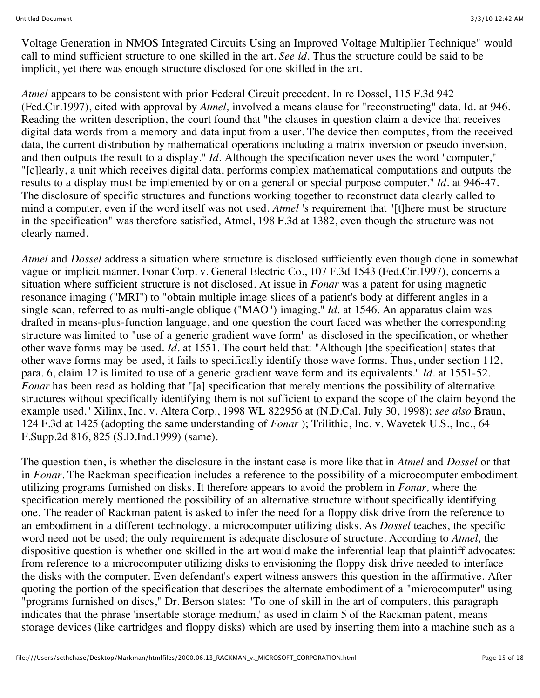Voltage Generation in NMOS Integrated Circuits Using an Improved Voltage Multiplier Technique" would call to mind sufficient structure to one skilled in the art. *See id.* Thus the structure could be said to be implicit, yet there was enough structure disclosed for one skilled in the art.

*Atmel* appears to be consistent with prior Federal Circuit precedent. In re Dossel, 115 F.3d 942 (Fed.Cir.1997), cited with approval by *Atmel,* involved a means clause for "reconstructing" data. Id. at 946. Reading the written description, the court found that "the clauses in question claim a device that receives digital data words from a memory and data input from a user. The device then computes, from the received data, the current distribution by mathematical operations including a matrix inversion or pseudo inversion, and then outputs the result to a display." *Id.* Although the specification never uses the word "computer," "[c]learly, a unit which receives digital data, performs complex mathematical computations and outputs the results to a display must be implemented by or on a general or special purpose computer." *Id.* at 946-47. The disclosure of specific structures and functions working together to reconstruct data clearly called to mind a computer, even if the word itself was not used. *Atmel* 's requirement that "[t]here must be structure in the specification" was therefore satisfied, Atmel, 198 F.3d at 1382, even though the structure was not clearly named.

*Atmel* and *Dossel* address a situation where structure is disclosed sufficiently even though done in somewhat vague or implicit manner. Fonar Corp. v. General Electric Co., 107 F.3d 1543 (Fed.Cir.1997), concerns a situation where sufficient structure is not disclosed. At issue in *Fonar* was a patent for using magnetic resonance imaging ("MRI") to "obtain multiple image slices of a patient's body at different angles in a single scan, referred to as multi-angle oblique ("MAO") imaging." *Id.* at 1546. An apparatus claim was drafted in means-plus-function language, and one question the court faced was whether the corresponding structure was limited to "use of a generic gradient wave form" as disclosed in the specification, or whether other wave forms may be used. *Id.* at 1551. The court held that: "Although [the specification] states that other wave forms may be used, it fails to specifically identify those wave forms. Thus, under section 112, para. 6, claim 12 is limited to use of a generic gradient wave form and its equivalents." *Id.* at 1551-52. *Fonar* has been read as holding that "[a] specification that merely mentions the possibility of alternative structures without specifically identifying them is not sufficient to expand the scope of the claim beyond the example used." Xilinx, Inc. v. Altera Corp., 1998 WL 822956 at (N.D.Cal. July 30, 1998); *see also* Braun, 124 F.3d at 1425 (adopting the same understanding of *Fonar* ); Trilithic, Inc. v. Wavetek U.S., Inc., 64 F.Supp.2d 816, 825 (S.D.Ind.1999) (same).

The question then, is whether the disclosure in the instant case is more like that in *Atmel* and *Dossel* or that in *Fonar.* The Rackman specification includes a reference to the possibility of a microcomputer embodiment utilizing programs furnished on disks. It therefore appears to avoid the problem in *Fonar,* where the specification merely mentioned the possibility of an alternative structure without specifically identifying one. The reader of Rackman patent is asked to infer the need for a floppy disk drive from the reference to an embodiment in a different technology, a microcomputer utilizing disks. As *Dossel* teaches, the specific word need not be used; the only requirement is adequate disclosure of structure. According to *Atmel,* the dispositive question is whether one skilled in the art would make the inferential leap that plaintiff advocates: from reference to a microcomputer utilizing disks to envisioning the floppy disk drive needed to interface the disks with the computer. Even defendant's expert witness answers this question in the affirmative. After quoting the portion of the specification that describes the alternate embodiment of a "microcomputer" using "programs furnished on discs," Dr. Berson states: "To one of skill in the art of computers, this paragraph indicates that the phrase 'insertable storage medium,' as used in claim 5 of the Rackman patent, means storage devices (like cartridges and floppy disks) which are used by inserting them into a machine such as a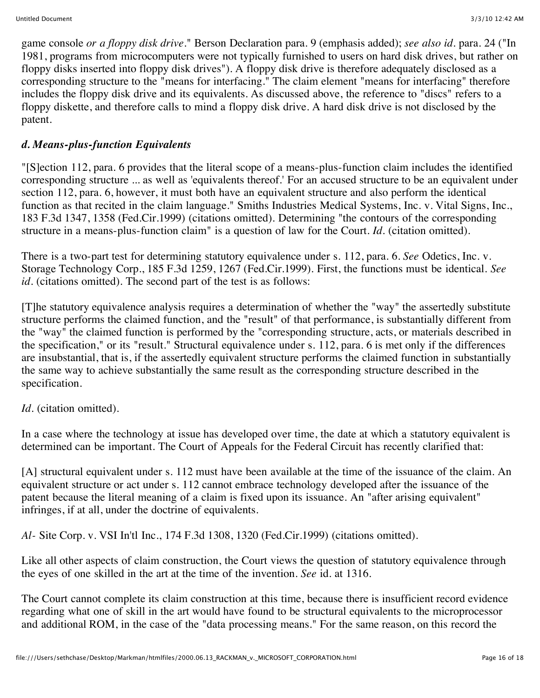game console *or a floppy disk drive.*" Berson Declaration para. 9 (emphasis added); *see also id.* para. 24 ("In 1981, programs from microcomputers were not typically furnished to users on hard disk drives, but rather on floppy disks inserted into floppy disk drives"). A floppy disk drive is therefore adequately disclosed as a corresponding structure to the "means for interfacing." The claim element "means for interfacing" therefore includes the floppy disk drive and its equivalents. As discussed above, the reference to "discs" refers to a floppy diskette, and therefore calls to mind a floppy disk drive. A hard disk drive is not disclosed by the patent.

## *d. Means-plus-function Equivalents*

"[S]ection 112, para. 6 provides that the literal scope of a means-plus-function claim includes the identified corresponding structure ... as well as 'equivalents thereof.' For an accused structure to be an equivalent under section 112, para. 6, however, it must both have an equivalent structure and also perform the identical function as that recited in the claim language." Smiths Industries Medical Systems, Inc. v. Vital Signs, Inc., 183 F.3d 1347, 1358 (Fed.Cir.1999) (citations omitted). Determining "the contours of the corresponding structure in a means-plus-function claim" is a question of law for the Court. *Id.* (citation omitted).

There is a two-part test for determining statutory equivalence under s. 112, para. 6. *See* Odetics, Inc. v. Storage Technology Corp., 185 F.3d 1259, 1267 (Fed.Cir.1999). First, the functions must be identical. *See id.* (citations omitted). The second part of the test is as follows:

[T]he statutory equivalence analysis requires a determination of whether the "way" the assertedly substitute structure performs the claimed function, and the "result" of that performance, is substantially different from the "way" the claimed function is performed by the "corresponding structure, acts, or materials described in the specification," or its "result." Structural equivalence under s. 112, para. 6 is met only if the differences are insubstantial, that is, if the assertedly equivalent structure performs the claimed function in substantially the same way to achieve substantially the same result as the corresponding structure described in the specification.

### *Id.* (citation omitted).

In a case where the technology at issue has developed over time, the date at which a statutory equivalent is determined can be important. The Court of Appeals for the Federal Circuit has recently clarified that:

[A] structural equivalent under s. 112 must have been available at the time of the issuance of the claim. An equivalent structure or act under s. 112 cannot embrace technology developed after the issuance of the patent because the literal meaning of a claim is fixed upon its issuance. An "after arising equivalent" infringes, if at all, under the doctrine of equivalents.

*Al-* Site Corp. v. VSI In'tl Inc., 174 F.3d 1308, 1320 (Fed.Cir.1999) (citations omitted).

Like all other aspects of claim construction, the Court views the question of statutory equivalence through the eyes of one skilled in the art at the time of the invention. *See* id. at 1316.

The Court cannot complete its claim construction at this time, because there is insufficient record evidence regarding what one of skill in the art would have found to be structural equivalents to the microprocessor and additional ROM, in the case of the "data processing means." For the same reason, on this record the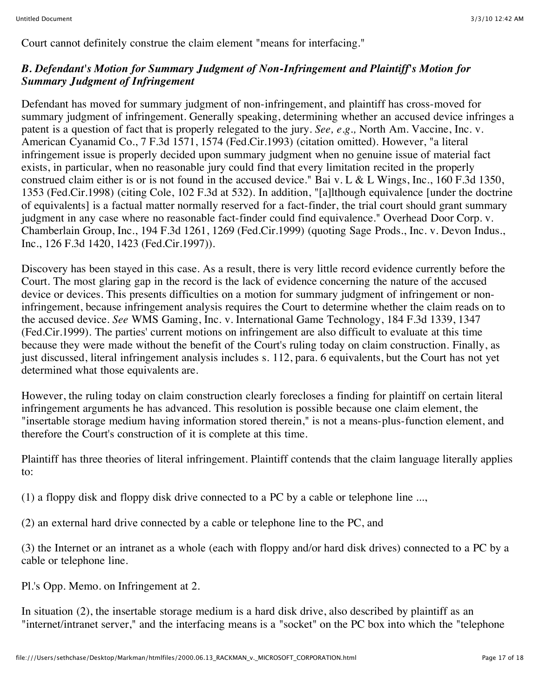Court cannot definitely construe the claim element "means for interfacing."

## *B. Defendant's Motion for Summary Judgment of Non-Infringement and Plaintiff's Motion for Summary Judgment of Infringement*

Defendant has moved for summary judgment of non-infringement, and plaintiff has cross-moved for summary judgment of infringement. Generally speaking, determining whether an accused device infringes a patent is a question of fact that is properly relegated to the jury. *See, e.g.,* North Am. Vaccine, Inc. v. American Cyanamid Co., 7 F.3d 1571, 1574 (Fed.Cir.1993) (citation omitted). However, "a literal infringement issue is properly decided upon summary judgment when no genuine issue of material fact exists, in particular, when no reasonable jury could find that every limitation recited in the properly construed claim either is or is not found in the accused device." Bai v. L & L Wings, Inc., 160 F.3d 1350, 1353 (Fed.Cir.1998) (citing Cole, 102 F.3d at 532). In addition, "[a]lthough equivalence [under the doctrine of equivalents] is a factual matter normally reserved for a fact-finder, the trial court should grant summary judgment in any case where no reasonable fact-finder could find equivalence." Overhead Door Corp. v. Chamberlain Group, Inc., 194 F.3d 1261, 1269 (Fed.Cir.1999) (quoting Sage Prods., Inc. v. Devon Indus., Inc., 126 F.3d 1420, 1423 (Fed.Cir.1997)).

Discovery has been stayed in this case. As a result, there is very little record evidence currently before the Court. The most glaring gap in the record is the lack of evidence concerning the nature of the accused device or devices. This presents difficulties on a motion for summary judgment of infringement or noninfringement, because infringement analysis requires the Court to determine whether the claim reads on to the accused device. *See* WMS Gaming, Inc. v. International Game Technology, 184 F.3d 1339, 1347 (Fed.Cir.1999). The parties' current motions on infringement are also difficult to evaluate at this time because they were made without the benefit of the Court's ruling today on claim construction. Finally, as just discussed, literal infringement analysis includes s. 112, para. 6 equivalents, but the Court has not yet determined what those equivalents are.

However, the ruling today on claim construction clearly forecloses a finding for plaintiff on certain literal infringement arguments he has advanced. This resolution is possible because one claim element, the "insertable storage medium having information stored therein," is not a means-plus-function element, and therefore the Court's construction of it is complete at this time.

Plaintiff has three theories of literal infringement. Plaintiff contends that the claim language literally applies to:

(1) a floppy disk and floppy disk drive connected to a PC by a cable or telephone line ...,

(2) an external hard drive connected by a cable or telephone line to the PC, and

(3) the Internet or an intranet as a whole (each with floppy and/or hard disk drives) connected to a PC by a cable or telephone line.

Pl.'s Opp. Memo. on Infringement at 2.

In situation (2), the insertable storage medium is a hard disk drive, also described by plaintiff as an "internet/intranet server," and the interfacing means is a "socket" on the PC box into which the "telephone